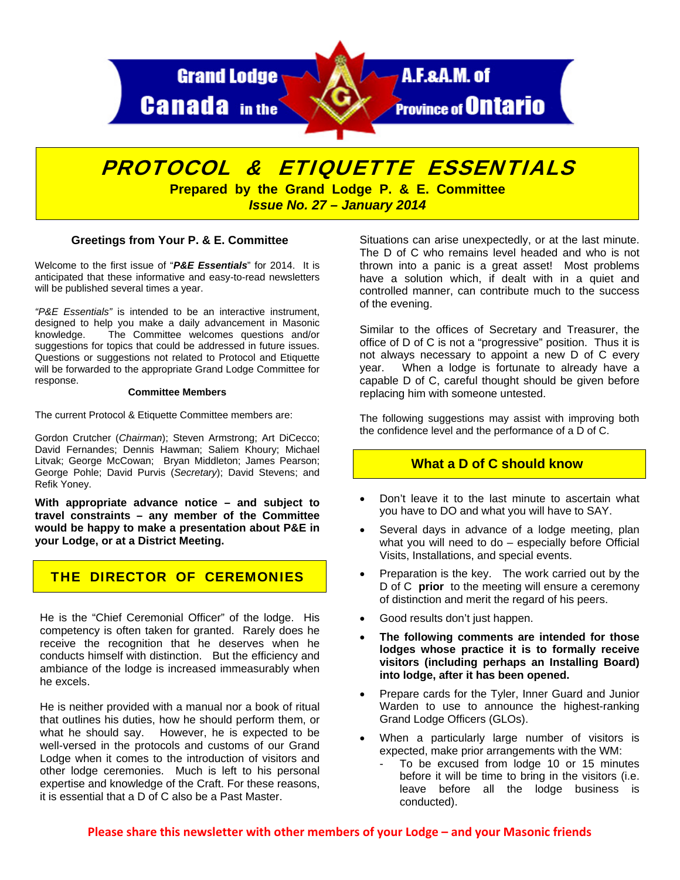

# PROTOCOL & ETIQUETTE ESSENTIALS

**Prepared by the Grand Lodge P. & E. Committee**  *Issue No. 27 – January 2014* 

#### **Greetings from Your P. & E. Committee**

Welcome to the first issue of "*P&E Essentials*" for 2014. It is anticipated that these informative and easy-to-read newsletters will be published several times a year.

*"P&E Essentials"* is intended to be an interactive instrument, designed to help you make a daily advancement in Masonic knowledge. The Committee welcomes questions and/or suggestions for topics that could be addressed in future issues. Questions or suggestions not related to Protocol and Etiquette will be forwarded to the appropriate Grand Lodge Committee for response.

#### **Committee Members**

The current Protocol & Etiquette Committee members are:

Gordon Crutcher (*Chairman*); Steven Armstrong; Art DiCecco; David Fernandes; Dennis Hawman; Saliem Khoury; Michael Litvak; George McCowan; Bryan Middleton; James Pearson; George Pohle; David Purvis (*Secretary*); David Stevens; and Refik Yoney.

**With appropriate advance notice – and subject to travel constraints – any member of the Committee would be happy to make a presentation about P&E in your Lodge, or at a District Meeting.** 

# THE DIRECTOR OF CEREMONIES

He is the "Chief Ceremonial Officer" of the lodge. His competency is often taken for granted. Rarely does he receive the recognition that he deserves when he conducts himself with distinction. But the efficiency and ambiance of the lodge is increased immeasurably when he excels.

He is neither provided with a manual nor a book of ritual that outlines his duties, how he should perform them, or what he should say. However, he is expected to be well-versed in the protocols and customs of our Grand Lodge when it comes to the introduction of visitors and other lodge ceremonies. Much is left to his personal expertise and knowledge of the Craft. For these reasons, it is essential that a D of C also be a Past Master.

Situations can arise unexpectedly, or at the last minute. The D of C who remains level headed and who is not thrown into a panic is a great asset! Most problems have a solution which, if dealt with in a quiet and controlled manner, can contribute much to the success of the evening.

Similar to the offices of Secretary and Treasurer, the office of D of C is not a "progressive" position. Thus it is not always necessary to appoint a new D of C every year. When a lodge is fortunate to already have a capable D of C, careful thought should be given before replacing him with someone untested.

The following suggestions may assist with improving both the confidence level and the performance of a D of C.

# **What a D of C should know**

- Don't leave it to the last minute to ascertain what you have to DO and what you will have to SAY.
- Several days in advance of a lodge meeting, plan what you will need to do – especially before Official Visits, Installations, and special events.
- Preparation is the key. The work carried out by the D of C **prior** to the meeting will ensure a ceremony of distinction and merit the regard of his peers.
- Good results don't just happen.
- **The following comments are intended for those lodges whose practice it is to formally receive visitors (including perhaps an Installing Board) into lodge, after it has been opened.**
- Prepare cards for the Tyler, Inner Guard and Junior Warden to use to announce the highest-ranking Grand Lodge Officers (GLOs).
- When a particularly large number of visitors is expected, make prior arrangements with the WM:
	- To be excused from lodge 10 or 15 minutes before it will be time to bring in the visitors (i.e. leave before all the lodge business is conducted).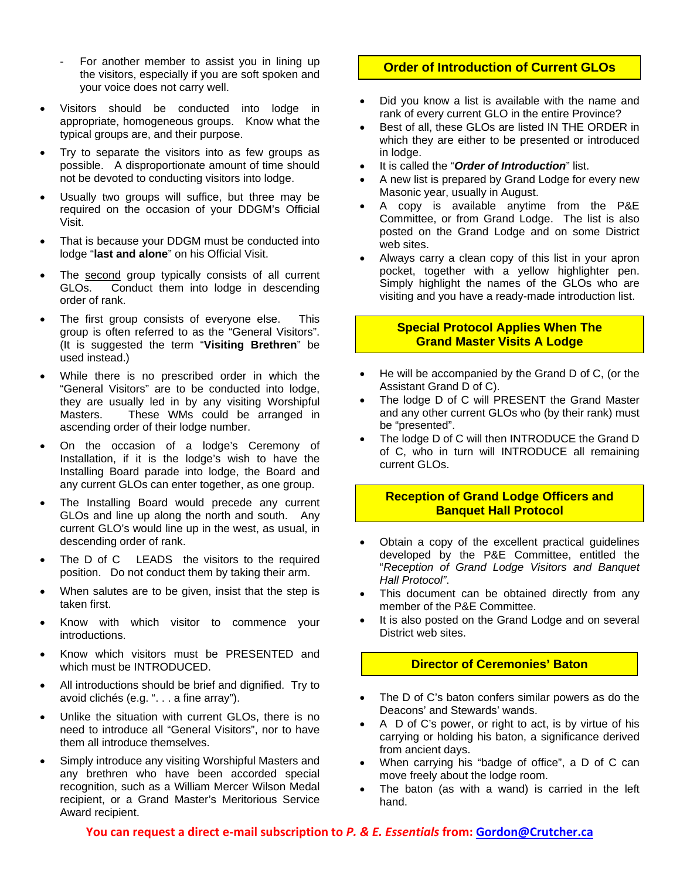- For another member to assist you in lining up the visitors, especially if you are soft spoken and your voice does not carry well.
- Visitors should be conducted into lodge in appropriate, homogeneous groups. Know what the typical groups are, and their purpose.
- Try to separate the visitors into as few groups as possible. A disproportionate amount of time should not be devoted to conducting visitors into lodge.
- Usually two groups will suffice, but three may be required on the occasion of your DDGM's Official Visit.
- That is because your DDGM must be conducted into lodge "**last and alone**" on his Official Visit.
- The second group typically consists of all current GLOs. Conduct them into lodge in descending order of rank.
- The first group consists of everyone else. This group is often referred to as the "General Visitors". (It is suggested the term "**Visiting Brethren**" be used instead.)
- While there is no prescribed order in which the "General Visitors" are to be conducted into lodge, they are usually led in by any visiting Worshipful Masters. These WMs could be arranged in ascending order of their lodge number.
- On the occasion of a lodge's Ceremony of Installation, if it is the lodge's wish to have the Installing Board parade into lodge, the Board and any current GLOs can enter together, as one group.
- The Installing Board would precede any current GLOs and line up along the north and south. Any current GLO's would line up in the west, as usual, in descending order of rank.
- The D of C LEADS the visitors to the required position. Do not conduct them by taking their arm.
- When salutes are to be given, insist that the step is taken first.
- Know with which visitor to commence your introductions.
- Know which visitors must be PRESENTED and which must be INTRODUCED.
- All introductions should be brief and dignified. Try to avoid clichés (e.g. ". . . a fine array").
- Unlike the situation with current GLOs, there is no need to introduce all "General Visitors", nor to have them all introduce themselves.
- Simply introduce any visiting Worshipful Masters and any brethren who have been accorded special recognition, such as a William Mercer Wilson Medal recipient, or a Grand Master's Meritorious Service Award recipient.

# **Order of Introduction of Current GLOs**

- Did you know a list is available with the name and rank of every current GLO in the entire Province?
- Best of all, these GLOs are listed IN THE ORDER in which they are either to be presented or introduced in lodge.
- It is called the "*Order of Introduction*" list.
- A new list is prepared by Grand Lodge for every new Masonic year, usually in August.
- A copy is available anytime from the P&E Committee, or from Grand Lodge. The list is also posted on the Grand Lodge and on some District web sites.
- Always carry a clean copy of this list in your apron pocket, together with a yellow highlighter pen. Simply highlight the names of the GLOs who are visiting and you have a ready-made introduction list.

# **Special Protocol Applies When The Grand Master Visits A Lodge**

- He will be accompanied by the Grand D of C, (or the Assistant Grand D of C).
- The lodge D of C will PRESENT the Grand Master and any other current GLOs who (by their rank) must be "presented".
- The lodge D of C will then INTRODUCE the Grand D of C, who in turn will INTRODUCE all remaining current GLOs.

### **Reception of Grand Lodge Officers and Banquet Hall Protocol**

- Obtain a copy of the excellent practical guidelines developed by the P&E Committee, entitled the "*Reception of Grand Lodge Visitors and Banquet Hall Protocol"*.
- This document can be obtained directly from any member of the P&E Committee.
- It is also posted on the Grand Lodge and on several District web sites.

# **Director of Ceremonies' Baton**

- The D of C's baton confers similar powers as do the Deacons' and Stewards' wands.
- A D of C's power, or right to act, is by virtue of his carrying or holding his baton, a significance derived from ancient days.
- When carrying his "badge of office", a D of C can move freely about the lodge room.
- The baton (as with a wand) is carried in the left hand.

**You can request a direct e‐mail subscription to** *P. & E. Essentials* **from: Gordon@Crutcher.ca**